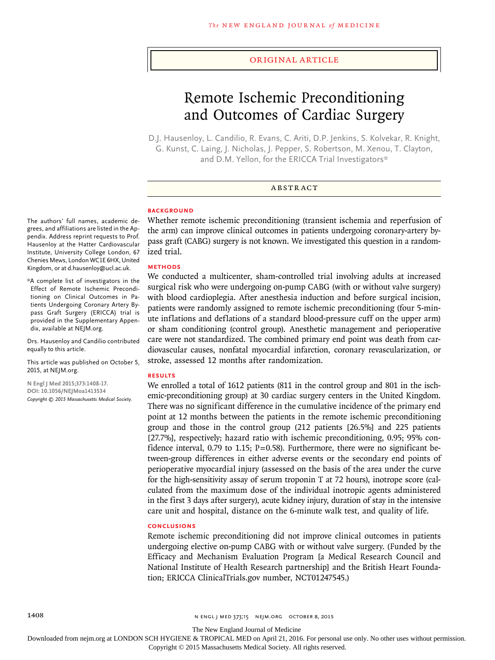### Original Article

# Remote Ischemic Preconditioning and Outcomes of Cardiac Surgery

D.J. Hausenloy, L. Candilio, R. Evans, C. Ariti, D.P. Jenkins, S. Kolvekar, R. Knight, G. Kunst, C. Laing, J. Nicholas, J. Pepper, S. Robertson, M. Xenou, T. Clayton, and D.M. Yellon, for the ERICCA Trial Investigators\*

## ABSTRACT

#### **BACKGROUND**

The authors' full names, academic degrees, and affiliations are listed in the Appendix. Address reprint requests to Prof. Hausenloy at the Hatter Cardiovascular Institute, University College London, 67 Chenies Mews, London WC1E 6HX, United Kingdom, or at d.hausenloy@ucl.ac.uk.

\*A complete list of investigators in the Effect of Remote Ischemic Preconditioning on Clinical Outcomes in Patients Undergoing Coronary Artery Bypass Graft Surgery (ERICCA) trial is provided in the Supplementary Appendix, available at NEJM.org.

Drs. Hausenloy and Candilio contributed equally to this article.

This article was published on October 5, 2015, at NEJM.org.

**N Engl J Med 2015;373:1408-17. DOI: 10.1056/NEJMoa1413534** *Copyright © 2015 Massachusetts Medical Society.* Whether remote ischemic preconditioning (transient ischemia and reperfusion of the arm) can improve clinical outcomes in patients undergoing coronary-artery bypass graft (CABG) surgery is not known. We investigated this question in a randomized trial.

### **METHODS**

We conducted a multicenter, sham-controlled trial involving adults at increased surgical risk who were undergoing on-pump CABG (with or without valve surgery) with blood cardioplegia. After anesthesia induction and before surgical incision, patients were randomly assigned to remote ischemic preconditioning (four 5-minute inflations and deflations of a standard blood-pressure cuff on the upper arm) or sham conditioning (control group). Anesthetic management and perioperative care were not standardized. The combined primary end point was death from cardiovascular causes, nonfatal myocardial infarction, coronary revascularization, or stroke, assessed 12 months after randomization.

#### **RESULTS**

We enrolled a total of 1612 patients (811 in the control group and 801 in the ischemic-preconditioning group) at 30 cardiac surgery centers in the United Kingdom. There was no significant difference in the cumulative incidence of the primary end point at 12 months between the patients in the remote ischemic preconditioning group and those in the control group (212 patients [26.5%] and 225 patients [27.7%], respectively; hazard ratio with ischemic preconditioning, 0.95; 95% confidence interval, 0.79 to 1.15;  $P=0.58$ ). Furthermore, there were no significant between-group differences in either adverse events or the secondary end points of perioperative myocardial injury (assessed on the basis of the area under the curve for the high-sensitivity assay of serum troponin T at 72 hours), inotrope score (calculated from the maximum dose of the individual inotropic agents administered in the first 3 days after surgery), acute kidney injury, duration of stay in the intensive care unit and hospital, distance on the 6-minute walk test, and quality of life.

#### **CONCLUSIONS**

Remote ischemic preconditioning did not improve clinical outcomes in patients undergoing elective on-pump CABG with or without valve surgery. (Funded by the Efficacy and Mechanism Evaluation Program [a Medical Research Council and National Institute of Health Research partnership] and the British Heart Foundation; ERICCA ClinicalTrials.gov number, NCT01247545.)

The New England Journal of Medicine

Downloaded from nejm.org at LONDON SCH HYGIENE & TROPICAL MED on April 21, 2016. For personal use only. No other uses without permission.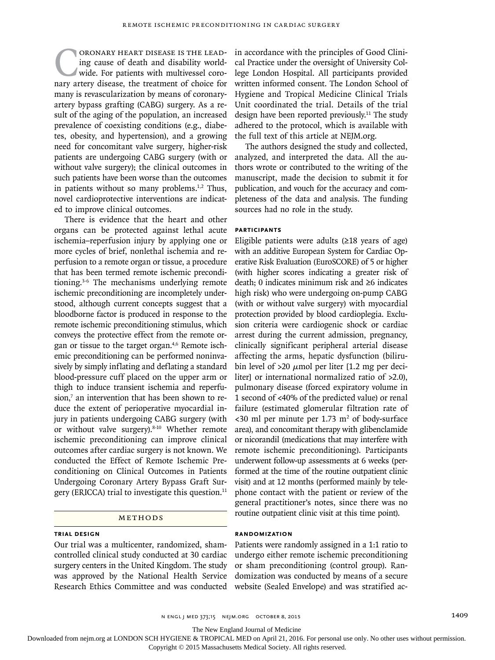CORONARY HEART DISEASE IS THE LEAD-<br>ing cause of death and disability world-<br>wide. For patients with multivessel coro-<br>nary artery disease, the treatment of choice for ing cause of death and disability worldwide. For patients with multivessel coronary artery disease, the treatment of choice for many is revascularization by means of coronaryartery bypass grafting (CABG) surgery. As a result of the aging of the population, an increased prevalence of coexisting conditions (e.g., diabetes, obesity, and hypertension), and a growing need for concomitant valve surgery, higher-risk patients are undergoing CABG surgery (with or without valve surgery); the clinical outcomes in such patients have been worse than the outcomes in patients without so many problems. $1,2$  Thus, novel cardioprotective interventions are indicated to improve clinical outcomes.

There is evidence that the heart and other organs can be protected against lethal acute ischemia–reperfusion injury by applying one or more cycles of brief, nonlethal ischemia and reperfusion to a remote organ or tissue, a procedure that has been termed remote ischemic preconditioning.3-6 The mechanisms underlying remote ischemic preconditioning are incompletely understood, although current concepts suggest that a bloodborne factor is produced in response to the remote ischemic preconditioning stimulus, which conveys the protective effect from the remote organ or tissue to the target organ.4,6 Remote ischemic preconditioning can be performed noninvasively by simply inflating and deflating a standard blood-pressure cuff placed on the upper arm or thigh to induce transient ischemia and reperfusion,<sup>7</sup> an intervention that has been shown to reduce the extent of perioperative myocardial injury in patients undergoing CABG surgery (with or without valve surgery). $8-10$  Whether remote ischemic preconditioning can improve clinical outcomes after cardiac surgery is not known. We conducted the Effect of Remote Ischemic Preconditioning on Clinical Outcomes in Patients Undergoing Coronary Artery Bypass Graft Surgery (ERICCA) trial to investigate this question.<sup>11</sup>

# **METHODS**

#### **Trial Design**

Our trial was a multicenter, randomized, shamcontrolled clinical study conducted at 30 cardiac surgery centers in the United Kingdom. The study was approved by the National Health Service Research Ethics Committee and was conducted in accordance with the principles of Good Clinical Practice under the oversight of University College London Hospital. All participants provided written informed consent. The London School of Hygiene and Tropical Medicine Clinical Trials Unit coordinated the trial. Details of the trial design have been reported previously.<sup>11</sup> The study adhered to the protocol, which is available with the full text of this article at NEJM.org.

The authors designed the study and collected, analyzed, and interpreted the data. All the authors wrote or contributed to the writing of the manuscript, made the decision to submit it for publication, and vouch for the accuracy and completeness of the data and analysis. The funding sources had no role in the study.

# **Participants**

Eligible patients were adults  $(≥18$  years of age) with an additive European System for Cardiac Operative Risk Evaluation (EuroSCORE) of 5 or higher (with higher scores indicating a greater risk of death; 0 indicates minimum risk and ≥6 indicates high risk) who were undergoing on-pump CABG (with or without valve surgery) with myocardial protection provided by blood cardioplegia. Exclusion criteria were cardiogenic shock or cardiac arrest during the current admission, pregnancy, clinically significant peripheral arterial disease affecting the arms, hepatic dysfunction (bilirubin level of  $>20 \mu$ mol per liter [1.2 mg per deciliter] or international normalized ratio of >2.0), pulmonary disease (forced expiratory volume in 1 second of <40% of the predicted value) or renal failure (estimated glomerular filtration rate of  $<30$  ml per minute per 1.73 m<sup>2</sup> of body-surface area), and concomitant therapy with glibenclamide or nicorandil (medications that may interfere with remote ischemic preconditioning). Participants underwent follow-up assessments at 6 weeks (performed at the time of the routine outpatient clinic visit) and at 12 months (performed mainly by telephone contact with the patient or review of the general practitioner's notes, since there was no routine outpatient clinic visit at this time point).

#### **Randomization**

Patients were randomly assigned in a 1:1 ratio to undergo either remote ischemic preconditioning or sham preconditioning (control group). Randomization was conducted by means of a secure website (Sealed Envelope) and was stratified ac-

The New England Journal of Medicine

Downloaded from nejm.org at LONDON SCH HYGIENE & TROPICAL MED on April 21, 2016. For personal use only. No other uses without permission.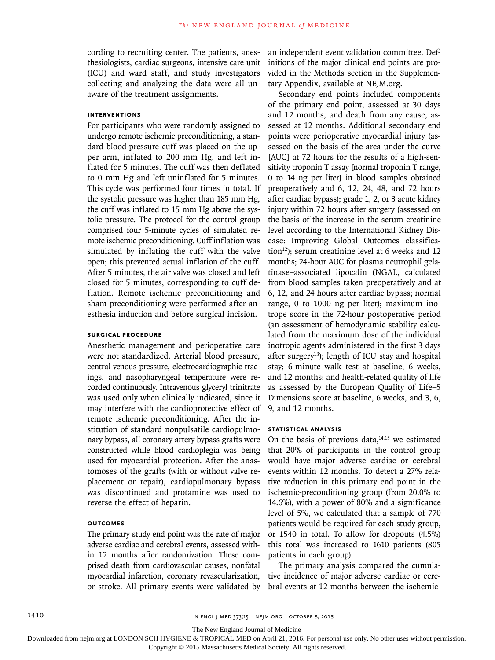cording to recruiting center. The patients, anesthesiologists, cardiac surgeons, intensive care unit (ICU) and ward staff, and study investigators collecting and analyzing the data were all unaware of the treatment assignments.

# **Interventions**

For participants who were randomly assigned to undergo remote ischemic preconditioning, a standard blood-pressure cuff was placed on the upper arm, inflated to 200 mm Hg, and left inflated for 5 minutes. The cuff was then deflated to 0 mm Hg and left uninflated for 5 minutes. This cycle was performed four times in total. If the systolic pressure was higher than 185 mm Hg, the cuff was inflated to 15 mm Hg above the systolic pressure. The protocol for the control group comprised four 5-minute cycles of simulated remote ischemic preconditioning. Cuff inflation was simulated by inflating the cuff with the valve open; this prevented actual inflation of the cuff. After 5 minutes, the air valve was closed and left closed for 5 minutes, corresponding to cuff deflation. Remote ischemic preconditioning and sham preconditioning were performed after anesthesia induction and before surgical incision.

# **Surgical Procedure**

Anesthetic management and perioperative care were not standardized. Arterial blood pressure, central venous pressure, electrocardiographic tracings, and nasopharyngeal temperature were recorded continuously. Intravenous glyceryl trinitrate was used only when clinically indicated, since it may interfere with the cardioprotective effect of remote ischemic preconditioning. After the institution of standard nonpulsatile cardiopulmonary bypass, all coronary-artery bypass grafts were constructed while blood cardioplegia was being used for myocardial protection. After the anastomoses of the grafts (with or without valve replacement or repair), cardiopulmonary bypass was discontinued and protamine was used to reverse the effect of heparin.

# **Outcomes**

The primary study end point was the rate of major adverse cardiac and cerebral events, assessed within 12 months after randomization. These comprised death from cardiovascular causes, nonfatal myocardial infarction, coronary revascularization, or stroke. All primary events were validated by an independent event validation committee. Definitions of the major clinical end points are provided in the Methods section in the Supplementary Appendix, available at NEJM.org.

Secondary end points included components of the primary end point, assessed at 30 days and 12 months, and death from any cause, assessed at 12 months. Additional secondary end points were perioperative myocardial injury (assessed on the basis of the area under the curve [AUC] at 72 hours for the results of a high-sensitivity troponin T assay [normal troponin T range, 0 to 14 ng per liter] in blood samples obtained preoperatively and 6, 12, 24, 48, and 72 hours after cardiac bypass); grade 1, 2, or 3 acute kidney injury within 72 hours after surgery (assessed on the basis of the increase in the serum creatinine level according to the International Kidney Disease: Improving Global Outcomes classification<sup>12</sup>); serum creatinine level at 6 weeks and 12 months; 24-hour AUC for plasma neutrophil gelatinase–associated lipocalin (NGAL, calculated from blood samples taken preoperatively and at 6, 12, and 24 hours after cardiac bypass; normal range, 0 to 1000 ng per liter); maximum inotrope score in the 72-hour postoperative period (an assessment of hemodynamic stability calculated from the maximum dose of the individual inotropic agents administered in the first 3 days after surgery<sup>13</sup>); length of ICU stay and hospital stay; 6-minute walk test at baseline, 6 weeks, and 12 months; and health-related quality of life as assessed by the European Quality of Life–5 Dimensions score at baseline, 6 weeks, and 3, 6, 9, and 12 months.

## **Statistical Analysis**

On the basis of previous data, $14,15$  we estimated that 20% of participants in the control group would have major adverse cardiac or cerebral events within 12 months. To detect a 27% relative reduction in this primary end point in the ischemic-preconditioning group (from 20.0% to 14.6%), with a power of 80% and a significance level of 5%, we calculated that a sample of 770 patients would be required for each study group, or 1540 in total. To allow for dropouts (4.5%) this total was increased to 1610 patients (805 patients in each group).

The primary analysis compared the cumulative incidence of major adverse cardiac or cerebral events at 12 months between the ischemic-

The New England Journal of Medicine

Downloaded from nejm.org at LONDON SCH HYGIENE & TROPICAL MED on April 21, 2016. For personal use only. No other uses without permission.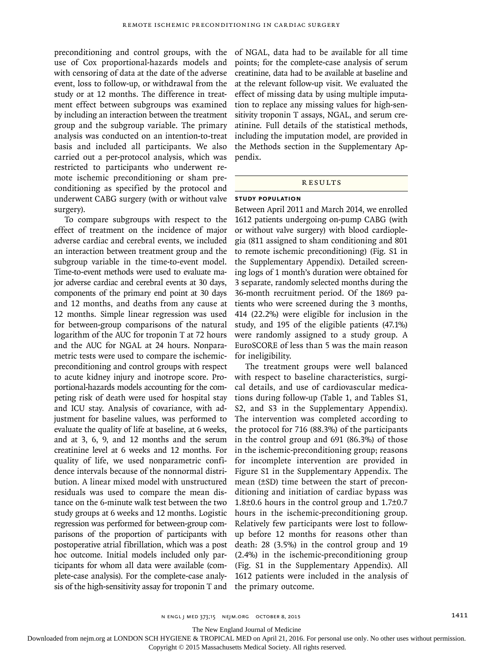preconditioning and control groups, with the use of Cox proportional-hazards models and with censoring of data at the date of the adverse event, loss to follow-up, or withdrawal from the study or at 12 months. The difference in treatment effect between subgroups was examined by including an interaction between the treatment group and the subgroup variable. The primary analysis was conducted on an intention-to-treat basis and included all participants. We also carried out a per-protocol analysis, which was restricted to participants who underwent remote ischemic preconditioning or sham preconditioning as specified by the protocol and underwent CABG surgery (with or without valve surgery).

To compare subgroups with respect to the effect of treatment on the incidence of major adverse cardiac and cerebral events, we included an interaction between treatment group and the subgroup variable in the time-to-event model. Time-to-event methods were used to evaluate major adverse cardiac and cerebral events at 30 days, components of the primary end point at 30 days and 12 months, and deaths from any cause at 12 months. Simple linear regression was used for between-group comparisons of the natural logarithm of the AUC for troponin T at 72 hours and the AUC for NGAL at 24 hours. Nonparametric tests were used to compare the ischemicpreconditioning and control groups with respect to acute kidney injury and inotrope score. Proportional-hazards models accounting for the competing risk of death were used for hospital stay and ICU stay. Analysis of covariance, with adjustment for baseline values, was performed to evaluate the quality of life at baseline, at 6 weeks, and at 3, 6, 9, and 12 months and the serum creatinine level at 6 weeks and 12 months. For quality of life, we used nonparametric confidence intervals because of the nonnormal distribution. A linear mixed model with unstructured residuals was used to compare the mean distance on the 6-minute walk test between the two study groups at 6 weeks and 12 months. Logistic regression was performed for between-group comparisons of the proportion of participants with postoperative atrial fibrillation, which was a post hoc outcome. Initial models included only participants for whom all data were available (complete-case analysis). For the complete-case analysis of the high-sensitivity assay for troponin T and

of NGAL, data had to be available for all time points; for the complete-case analysis of serum creatinine, data had to be available at baseline and at the relevant follow-up visit. We evaluated the effect of missing data by using multiple imputation to replace any missing values for high-sensitivity troponin T assays, NGAL, and serum creatinine. Full details of the statistical methods, including the imputation model, are provided in the Methods section in the Supplementary Appendix.

#### **RESULTS**

# **Study Population**

Between April 2011 and March 2014, we enrolled 1612 patients undergoing on-pump CABG (with or without valve surgery) with blood cardioplegia (811 assigned to sham conditioning and 801 to remote ischemic preconditioning) (Fig. S1 in the Supplementary Appendix). Detailed screening logs of 1 month's duration were obtained for 3 separate, randomly selected months during the 36-month recruitment period. Of the 1869 patients who were screened during the 3 months, 414 (22.2%) were eligible for inclusion in the study, and 195 of the eligible patients (47.1%) were randomly assigned to a study group. A EuroSCORE of less than 5 was the main reason for ineligibility.

The treatment groups were well balanced with respect to baseline characteristics, surgical details, and use of cardiovascular medications during follow-up (Table 1, and Tables S1, S2, and S3 in the Supplementary Appendix). The intervention was completed according to the protocol for 716 (88.3%) of the participants in the control group and 691 (86.3%) of those in the ischemic-preconditioning group; reasons for incomplete intervention are provided in Figure S1 in the Supplementary Appendix. The mean (±SD) time between the start of preconditioning and initiation of cardiac bypass was 1.8±0.6 hours in the control group and 1.7±0.7 hours in the ischemic-preconditioning group. Relatively few participants were lost to followup before 12 months for reasons other than death: 28 (3.5%) in the control group and 19 (2.4%) in the ischemic-preconditioning group (Fig. S1 in the Supplementary Appendix). All 1612 patients were included in the analysis of the primary outcome.

n engl j med 373;15 nejm.org October 8, 2015 1411

The New England Journal of Medicine

Downloaded from nejm.org at LONDON SCH HYGIENE & TROPICAL MED on April 21, 2016. For personal use only. No other uses without permission.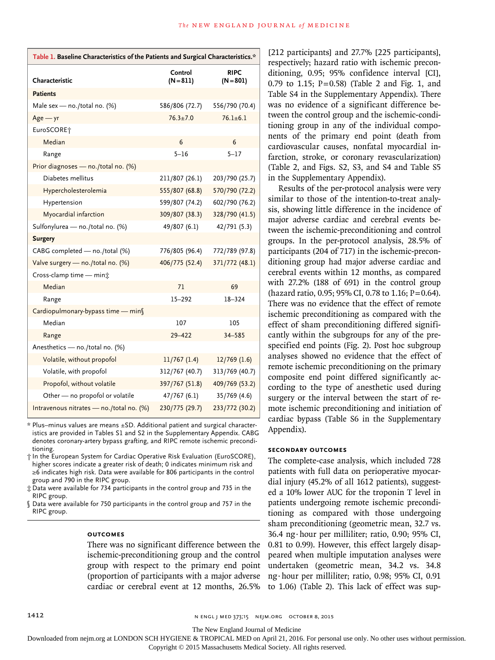| Table 1. Baseline Characteristics of the Patients and Surgical Characteristics.* |                        |                            |  |  |  |
|----------------------------------------------------------------------------------|------------------------|----------------------------|--|--|--|
| Characteristic                                                                   | Control<br>$(N = 811)$ | <b>RIPC</b><br>$(N = 801)$ |  |  |  |
| <b>Patients</b>                                                                  |                        |                            |  |  |  |
| Male sex - no./total no. (%)                                                     | 586/806 (72.7)         | 556/790 (70.4)             |  |  |  |
| $Age - yr$                                                                       | $76.3 \pm 7.0$         | $76.1 \pm 6.1$             |  |  |  |
| EuroSCORE <sup>+</sup>                                                           |                        |                            |  |  |  |
| Median                                                                           | 6                      | 6                          |  |  |  |
| Range                                                                            | $5 - 16$               | $5 - 17$                   |  |  |  |
| Prior diagnoses - no./total no. (%)                                              |                        |                            |  |  |  |
| Diabetes mellitus                                                                | 211/807 (26.1)         | 203/790 (25.7)             |  |  |  |
| Hypercholesterolemia                                                             | 555/807 (68.8)         | 570/790 (72.2)             |  |  |  |
| Hypertension                                                                     | 599/807 (74.2)         | 602/790 (76.2)             |  |  |  |
| Myocardial infarction                                                            | 309/807 (38.3)         | 328/790 (41.5)             |  |  |  |
| Sulfonylurea - no./total no. (%)                                                 | 49/807 (6.1)           | 42/791 (5.3)               |  |  |  |
| <b>Surgery</b>                                                                   |                        |                            |  |  |  |
| CABG completed - no./total (%)                                                   | 776/805 (96.4)         | 772/789 (97.8)             |  |  |  |
| Valve surgery - no./total no. (%)                                                | 406/775 (52.4)         | 371/772 (48.1)             |  |  |  |
| Cross-clamp time - mint                                                          |                        |                            |  |  |  |
| Median                                                                           | 71                     | 69                         |  |  |  |
| Range                                                                            | 15-292                 | $18 - 324$                 |  |  |  |
| Cardiopulmonary-bypass time - min                                                |                        |                            |  |  |  |
| Median                                                                           | 107                    | 105                        |  |  |  |
| Range                                                                            | 29-422                 | 34-585                     |  |  |  |
| Anesthetics - no./total no. (%)                                                  |                        |                            |  |  |  |
| Volatile, without propofol                                                       | $11/767$ (1.4)         | $12/769$ (1.6)             |  |  |  |
| Volatile, with propofol                                                          | 312/767 (40.7)         | 313/769 (40.7)             |  |  |  |
| Propofol, without volatile                                                       | 397/767 (51.8)         | 409/769 (53.2)             |  |  |  |
| Other - no propofol or volatile                                                  | 47/767(6.1)            | 35/769 (4.6)               |  |  |  |
| Intravenous nitrates - no./total no. (%)                                         | 230/775 (29.7)         | 233/772 (30.2)             |  |  |  |

\* Plus–minus values are means ±SD. Additional patient and surgical characteristics are provided in Tables S1 and S2 in the Supplementary Appendix. CABG denotes coronary-artery bypass grafting, and RIPC remote ischemic preconditioning.

- † In the European System for Cardiac Operative Risk Evaluation (EuroSCORE), higher scores indicate a greater risk of death; 0 indicates minimum risk and ≥6 indicates high risk. Data were available for 806 participants in the control group and 790 in the RIPC group.
- ‡ Data were available for 734 participants in the control group and 735 in the RIPC group.
- § Data were available for 750 participants in the control group and 757 in the RIPC group.

#### **Outcomes**

There was no significant difference between the ischemic-preconditioning group and the control group with respect to the primary end point (proportion of participants with a major adverse cardiac or cerebral event at 12 months, 26.5%

[212 participants] and 27.7% [225 participants], respectively; hazard ratio with ischemic preconditioning, 0.95; 95% confidence interval [CI], 0.79 to 1.15; P=0.58) (Table 2 and Fig. 1, and Table S4 in the Supplementary Appendix). There was no evidence of a significant difference between the control group and the ischemic-conditioning group in any of the individual components of the primary end point (death from cardiovascular causes, nonfatal myocardial infarction, stroke, or coronary revascularization) (Table 2, and Figs. S2, S3, and S4 and Table S5 in the Supplementary Appendix).

Results of the per-protocol analysis were very similar to those of the intention-to-treat analysis, showing little difference in the incidence of major adverse cardiac and cerebral events between the ischemic-preconditioning and control groups. In the per-protocol analysis, 28.5% of participants (204 of 717) in the ischemic-preconditioning group had major adverse cardiac and cerebral events within 12 months, as compared with 27.2% (188 of 691) in the control group (hazard ratio, 0.95; 95% CI, 0.78 to 1.16; P=0.64). There was no evidence that the effect of remote ischemic preconditioning as compared with the effect of sham preconditioning differed significantly within the subgroups for any of the prespecified end points (Fig. 2). Post hoc subgroup analyses showed no evidence that the effect of remote ischemic preconditioning on the primary composite end point differed significantly according to the type of anesthetic used during surgery or the interval between the start of remote ischemic preconditioning and initiation of cardiac bypass (Table S6 in the Supplementary Appendix).

#### **Secondary Outcomes**

The complete-case analysis, which included 728 patients with full data on perioperative myocardial injury (45.2% of all 1612 patients), suggested a 10% lower AUC for the troponin T level in patients undergoing remote ischemic preconditioning as compared with those undergoing sham preconditioning (geometric mean, 32.7 vs. 36.4 ng·hour per milliliter; ratio, 0.90; 95% CI, 0.81 to 0.99). However, this effect largely disappeared when multiple imputation analyses were undertaken (geometric mean, 34.2 vs. 34.8 ng·hour per milliliter; ratio, 0.98; 95% CI, 0.91 to 1.06) (Table 2). This lack of effect was sup-

1412 **n engl j med 373;15** n engl j med 373;15 nejm.org October 8, 2015

The New England Journal of Medicine

Downloaded from nejm.org at LONDON SCH HYGIENE & TROPICAL MED on April 21, 2016. For personal use only. No other uses without permission.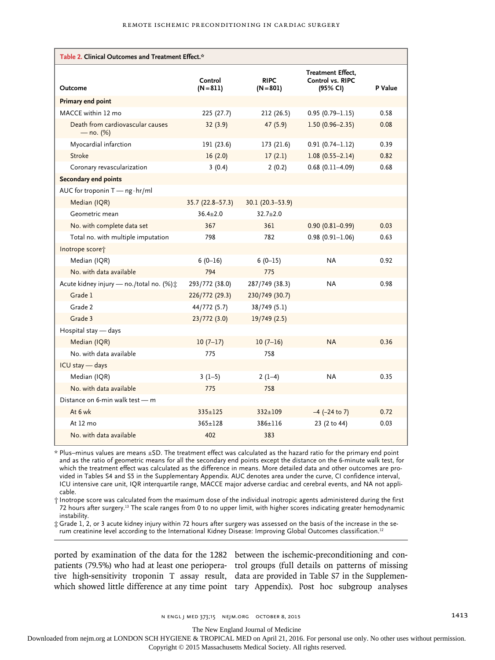| Table 2. Clinical Outcomes and Treatment Effect.* |                        |                            |                                                          |         |  |  |  |
|---------------------------------------------------|------------------------|----------------------------|----------------------------------------------------------|---------|--|--|--|
| Outcome                                           | Control<br>$(N = 811)$ | <b>RIPC</b><br>$(N = 801)$ | <b>Treatment Effect,</b><br>Control vs. RIPC<br>(95% CI) | P Value |  |  |  |
| Primary end point                                 |                        |                            |                                                          |         |  |  |  |
| MACCE within 12 mo                                | 225 (27.7)             | 212 (26.5)                 | $0.95(0.79 - 1.15)$                                      | 0.58    |  |  |  |
| Death from cardiovascular causes<br>$-$ no. (%)   | 32(3.9)                | 47 (5.9)                   | $1.50(0.96 - 2.35)$                                      | 0.08    |  |  |  |
| Myocardial infarction                             | 191 (23.6)             | 173 (21.6)                 | $0.91(0.74 - 1.12)$                                      | 0.39    |  |  |  |
| Stroke                                            | 16(2.0)                | 17(2.1)                    | $1.08(0.55 - 2.14)$                                      | 0.82    |  |  |  |
| Coronary revascularization                        | 3(0.4)                 | 2(0.2)                     | $0.68(0.11-4.09)$                                        | 0.68    |  |  |  |
| Secondary end points                              |                        |                            |                                                          |         |  |  |  |
| AUC for troponin $T - ng \cdot hr/ml$             |                        |                            |                                                          |         |  |  |  |
| Median (IQR)                                      | 35.7 (22.8-57.3)       | $30.1(20.3 - 53.9)$        |                                                          |         |  |  |  |
| Geometric mean                                    | $36.4 + 2.0$           | $32.7 + 2.0$               |                                                          |         |  |  |  |
| No. with complete data set                        | 367                    | 361                        | $0.90(0.81 - 0.99)$                                      | 0.03    |  |  |  |
| Total no. with multiple imputation                | 798                    | 782                        | $0.98(0.91 - 1.06)$                                      | 0.63    |  |  |  |
| Inotrope score;                                   |                        |                            |                                                          |         |  |  |  |
| Median (IQR)                                      | $6(0-16)$              | $6(0-15)$                  | NA                                                       | 0.92    |  |  |  |
| No. with data available                           | 794                    | 775                        |                                                          |         |  |  |  |
| Acute kidney injury - no./total no. (%) :         | 293/772 (38.0)         | 287/749 (38.3)             | <b>NA</b>                                                | 0.98    |  |  |  |
| Grade 1                                           | 226/772 (29.3)         | 230/749 (30.7)             |                                                          |         |  |  |  |
| Grade 2                                           | 44/772 (5.7)           | 38/749 (5.1)               |                                                          |         |  |  |  |
| Grade 3                                           | 23/772(3.0)            | 19/749(2.5)                |                                                          |         |  |  |  |
| Hospital stay - days                              |                        |                            |                                                          |         |  |  |  |
| Median (IQR)                                      | $10(7-17)$             | $10(7-16)$                 | <b>NA</b>                                                | 0.36    |  |  |  |
| No. with data available                           | 775                    | 758                        |                                                          |         |  |  |  |
| ICU stay - days                                   |                        |                            |                                                          |         |  |  |  |
| Median (IQR)                                      | $3(1-5)$               | $2(1-4)$                   | <b>NA</b>                                                | 0.35    |  |  |  |
| No. with data available                           | 775                    | 758                        |                                                          |         |  |  |  |
| Distance on 6-min walk test - m                   |                        |                            |                                                          |         |  |  |  |
| At $6$ wk                                         | $335 \pm 125$          | $332 + 109$                | $-4$ ( $-24$ to 7)                                       | 0.72    |  |  |  |
| At 12 mo                                          | $365 + 128$            | $386 + 116$                | 23 (2 to 44)                                             | 0.03    |  |  |  |
| No. with data available                           | 402                    | 383                        |                                                          |         |  |  |  |

\* Plus–minus values are means ±SD. The treatment effect was calculated as the hazard ratio for the primary end point and as the ratio of geometric means for all the secondary end points except the distance on the 6-minute walk test, for which the treatment effect was calculated as the difference in means. More detailed data and other outcomes are provided in Tables S4 and S5 in the Supplementary Appendix. AUC denotes area under the curve, CI confidence interval, ICU intensive care unit, IQR interquartile range, MACCE major adverse cardiac and cerebral events, and NA not applicable.

† Inotrope score was calculated from the maximum dose of the individual inotropic agents administered during the first 72 hours after surgery.<sup>13</sup> The scale ranges from 0 to no upper limit, with higher scores indicating greater hemodynamic instability.

‡ Grade 1, 2, or 3 acute kidney injury within 72 hours after surgery was assessed on the basis of the increase in the serum creatinine level according to the International Kidney Disease: Improving Global Outcomes classification.<sup>12</sup>

ported by examination of the data for the 1282 between the ischemic-preconditioning and conpatients (79.5%) who had at least one periopera-trol groups (full details on patterns of missing tive high-sensitivity troponin T assay result, data are provided in Table S7 in the Supplemenwhich showed little difference at any time point tary Appendix). Post hoc subgroup analyses

The New England Journal of Medicine

Downloaded from nejm.org at LONDON SCH HYGIENE & TROPICAL MED on April 21, 2016. For personal use only. No other uses without permission. Copyright © 2015 Massachusetts Medical Society. All rights reserved.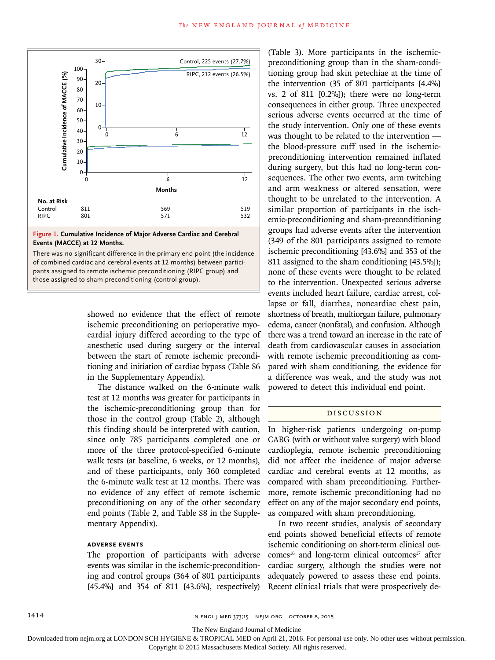

## **Figure 1. Cumulative Incidence of Major Adverse Cardiac and Cerebral Events (MACCE) at 12 Months.**

There was no significant difference in the primary end point (the incidence of combined cardiac and cerebral events at 12 months) between participants assigned to remote ischemic preconditioning (RIPC group) and

> showed no evidence that the effect of remote ischemic preconditioning on perioperative myocardial injury differed according to the type of anesthetic used during surgery or the interval between the start of remote ischemic preconditioning and initiation of cardiac bypass (Table S6 in the Supplementary Appendix).

> The distance walked on the 6-minute walk test at 12 months was greater for participants in the ischemic-preconditioning group than for those in the control group (Table 2), although this finding should be interpreted with caution, since only 785 participants completed one or more of the three protocol-specified 6-minute walk tests (at baseline, 6 weeks, or 12 months), and of these participants, only 360 completed the 6-minute walk test at 12 months. There was no evidence of any effect of remote ischemic preconditioning on any of the other secondary end points (Table 2, and Table S8 in the Supplementary Appendix).

## **Adverse Events**

The proportion of participants with adverse events was similar in the ischemic-preconditioning and control groups (364 of 801 participants [45.4%] and 354 of 811 [43.6%], respectively) (Table 3). More participants in the ischemicpreconditioning group than in the sham-conditioning group had skin petechiae at the time of the intervention (35 of 801 participants [4.4%] vs. 2 of 811 [0.2%]); there were no long-term consequences in either group. Three unexpected serious adverse events occurred at the time of the study intervention. Only one of these events was thought to be related to the intervention the blood-pressure cuff used in the ischemicpreconditioning intervention remained inflated during surgery, but this had no long-term consequences. The other two events, arm twitching and arm weakness or altered sensation, were thought to be unrelated to the intervention. A similar proportion of participants in the ischemic-preconditioning and sham-preconditioning groups had adverse events after the intervention (349 of the 801 participants assigned to remote ischemic preconditioning [43.6%] and 353 of the 811 assigned to the sham conditioning [43.5%]); none of these events were thought to be related to the intervention. Unexpected serious adverse events included heart failure, cardiac arrest, collapse or fall, diarrhea, noncardiac chest pain, shortness of breath, multiorgan failure, pulmonary edema, cancer (nonfatal), and confusion. Although there was a trend toward an increase in the rate of death from cardiovascular causes in association with remote ischemic preconditioning as compared with sham conditioning, the evidence for a difference was weak, and the study was not powered to detect this individual end point.

# Discussion

In higher-risk patients undergoing on-pump CABG (with or without valve surgery) with blood cardioplegia, remote ischemic preconditioning did not affect the incidence of major adverse cardiac and cerebral events at 12 months, as compared with sham preconditioning. Furthermore, remote ischemic preconditioning had no effect on any of the major secondary end points, as compared with sham preconditioning.

In two recent studies, analysis of secondary end points showed beneficial effects of remote ischemic conditioning on short-term clinical outcomes<sup>16</sup> and long-term clinical outcomes<sup>17</sup> after cardiac surgery, although the studies were not adequately powered to assess these end points. Recent clinical trials that were prospectively de-

1414 **1414** N ENGL J MED 373;15 NEIM.ORG OCTOBER 8, 2015

The New England Journal of Medicine

Downloaded from nejm.org at LONDON SCH HYGIENE & TROPICAL MED on April 21, 2016. For personal use only. No other uses without permission.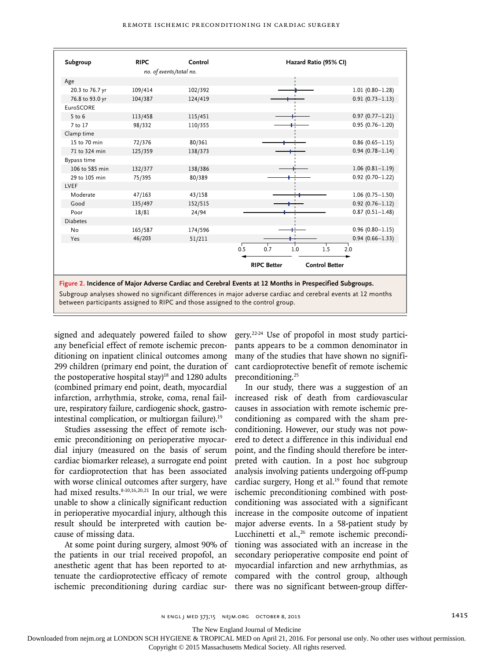| Subgroup                                                                                                                                                                                        | <b>RIPC</b> | Control                 | Hazard Ratio (95% CI)                       |  |
|-------------------------------------------------------------------------------------------------------------------------------------------------------------------------------------------------|-------------|-------------------------|---------------------------------------------|--|
|                                                                                                                                                                                                 |             | no. of events/total no. |                                             |  |
| Age                                                                                                                                                                                             |             |                         |                                             |  |
| 20.3 to 76.7 yr                                                                                                                                                                                 | 109/414     | 102/392                 | $1.01(0.80 - 1.28)$                         |  |
| 76.8 to 93.0 yr                                                                                                                                                                                 | 104/387     | 124/419                 | $0.91(0.73 - 1.13)$                         |  |
| EuroSCORE                                                                                                                                                                                       |             |                         |                                             |  |
| $5$ to $6$                                                                                                                                                                                      | 113/458     | 115/451                 | $0.97(0.77 - 1.21)$                         |  |
| 7 to 17                                                                                                                                                                                         | 98/332      | 110/355                 | $0.95(0.76 - 1.20)$                         |  |
| Clamp time                                                                                                                                                                                      |             |                         |                                             |  |
| 15 to 70 min                                                                                                                                                                                    | 72/376      | 80/361                  | $0.86(0.65 - 1.15)$                         |  |
| 71 to 324 min                                                                                                                                                                                   | 125/359     | 138/373                 | $0.94(0.78 - 1.14)$                         |  |
| Bypass time                                                                                                                                                                                     |             |                         |                                             |  |
| 106 to 585 min                                                                                                                                                                                  | 132/377     | 138/386                 | $1.06(0.81 - 1.19)$                         |  |
| 29 to 105 min                                                                                                                                                                                   | 75/395      | 80/389                  | $0.92(0.70 - 1.22)$                         |  |
| LVEF                                                                                                                                                                                            |             |                         |                                             |  |
| Moderate                                                                                                                                                                                        | 47/163      | 43/158                  | $1.06(0.75 - 1.50)$                         |  |
| Good                                                                                                                                                                                            | 135/497     | 152/515                 | $0.92(0.76 - 1.12)$                         |  |
| Poor                                                                                                                                                                                            | 18/81       | 24/94                   | $0.87(0.51 - 1.48)$                         |  |
| <b>Diabetes</b>                                                                                                                                                                                 |             |                         |                                             |  |
| <b>No</b>                                                                                                                                                                                       | 165/587     | 174/596                 | $0.96(0.80 - 1.15)$                         |  |
| Yes                                                                                                                                                                                             | 46/203      | 51/211                  | $0.94(0.66 - 1.33)$                         |  |
|                                                                                                                                                                                                 |             |                         | ⊤<br>1.0<br>0.5<br>0.7<br>1.5<br>2.0        |  |
|                                                                                                                                                                                                 |             |                         |                                             |  |
|                                                                                                                                                                                                 |             |                         | <b>Control Better</b><br><b>RIPC Better</b> |  |
| Figure 2. Incidence of Major Adverse Cardiac and Cerebral Events at 12 Months in Prespecified Subgroups.                                                                                        |             |                         |                                             |  |
|                                                                                                                                                                                                 |             |                         |                                             |  |
| Subgroup analyses showed no significant differences in major adverse cardiac and cerebral events at 12 months<br>between participants assigned to RIPC and those assigned to the control group. |             |                         |                                             |  |

signed and adequately powered failed to show any beneficial effect of remote ischemic preconditioning on inpatient clinical outcomes among 299 children (primary end point, the duration of the postoperative hospital stay)<sup>18</sup> and 1280 adults (combined primary end point, death, myocardial infarction, arrhythmia, stroke, coma, renal failure, respiratory failure, cardiogenic shock, gastrointestinal complication, or multiorgan failure).<sup>19</sup>

Studies assessing the effect of remote ischemic preconditioning on perioperative myocardial injury (measured on the basis of serum cardiac biomarker release), a surrogate end point for cardioprotection that has been associated with worse clinical outcomes after surgery, have had mixed results. $8-10,16,20,21$  In our trial, we were unable to show a clinically significant reduction in perioperative myocardial injury, although this result should be interpreted with caution because of missing data.

At some point during surgery, almost 90% of the patients in our trial received propofol, an anesthetic agent that has been reported to attenuate the cardioprotective efficacy of remote ischemic preconditioning during cardiac surgery.22-24 Use of propofol in most study participants appears to be a common denominator in many of the studies that have shown no significant cardioprotective benefit of remote ischemic preconditioning.<sup>25</sup>

In our study, there was a suggestion of an increased risk of death from cardiovascular causes in association with remote ischemic preconditioning as compared with the sham preconditioning. However, our study was not powered to detect a difference in this individual end point, and the finding should therefore be interpreted with caution. In a post hoc subgroup analysis involving patients undergoing off-pump cardiac surgery, Hong et al.<sup>19</sup> found that remote ischemic preconditioning combined with postconditioning was associated with a significant increase in the composite outcome of inpatient major adverse events. In a 58-patient study by Lucchinetti et al.,<sup>26</sup> remote ischemic preconditioning was associated with an increase in the secondary perioperative composite end point of myocardial infarction and new arrhythmias, as compared with the control group, although there was no significant between-group differ-

The New England Journal of Medicine

Downloaded from nejm.org at LONDON SCH HYGIENE & TROPICAL MED on April 21, 2016. For personal use only. No other uses without permission.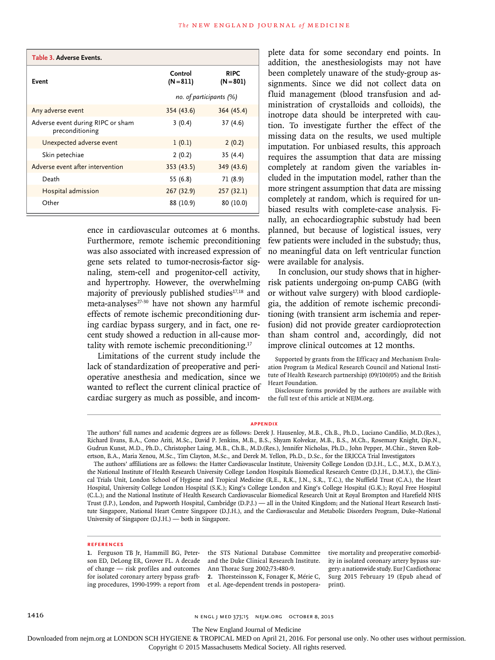| Table 3. Adverse Events.                             |                         |                            |  |
|------------------------------------------------------|-------------------------|----------------------------|--|
| Event                                                | Control<br>$(N = 811)$  | <b>RIPC</b><br>$(N = 801)$ |  |
|                                                      | no. of participants (%) |                            |  |
| Any adverse event                                    | 354 (43.6)              | 364 (45.4)                 |  |
| Adverse event during RIPC or sham<br>preconditioning | 3(0.4)                  | 37 (4.6)                   |  |
| Unexpected adverse event                             | 1(0.1)                  | 2(0.2)                     |  |
| Skin petechiae                                       | 2(0.2)                  | 35(4.4)                    |  |
| Adverse event after intervention                     | 353(43.5)               | 349 (43.6)                 |  |
| Death                                                | 55 (6.8)                | 71 (8.9)                   |  |
| Hospital admission                                   | 267 (32.9)              | 257(32.1)                  |  |
| Other                                                | 88 (10.9)               | 80 (10.0)                  |  |

ence in cardiovascular outcomes at 6 months. Furthermore, remote ischemic preconditioning was also associated with increased expression of gene sets related to tumor-necrosis-factor signaling, stem-cell and progenitor-cell activity, and hypertrophy. However, the overwhelming majority of previously published studies<sup>17,18</sup> and meta-analyses<sup>27-30</sup> have not shown any harmful effects of remote ischemic preconditioning during cardiac bypass surgery, and in fact, one recent study showed a reduction in all-cause mortality with remote ischemic preconditioning.17

Limitations of the current study include the lack of standardization of preoperative and perioperative anesthesia and medication, since we wanted to reflect the current clinical practice of cardiac surgery as much as possible, and incomplete data for some secondary end points. In addition, the anesthesiologists may not have been completely unaware of the study-group assignments. Since we did not collect data on fluid management (blood transfusion and administration of crystalloids and colloids), the inotrope data should be interpreted with caution. To investigate further the effect of the missing data on the results, we used multiple imputation. For unbiased results, this approach requires the assumption that data are missing completely at random given the variables included in the imputation model, rather than the more stringent assumption that data are missing completely at random, which is required for unbiased results with complete-case analysis. Finally, an echocardiographic substudy had been planned, but because of logistical issues, very few patients were included in the substudy; thus, no meaningful data on left ventricular function were available for analysis.

In conclusion, our study shows that in higherrisk patients undergoing on-pump CABG (with or without valve surgery) with blood cardioplegia, the addition of remote ischemic preconditioning (with transient arm ischemia and reperfusion) did not provide greater cardioprotection than sham control and, accordingly, did not improve clinical outcomes at 12 months.

Supported by grants from the Efficacy and Mechanism Evaluation Program (a Medical Research Council and National Institute of Health Research partnership) (09/100/05) and the British Heart Foundation.

Disclosure forms provided by the authors are available with the full text of this article at NEJM.org.

#### **Appendix**

The authors' affiliations are as follows: the Hatter Cardiovascular Institute, University College London (D.J.H., L.C., M.X., D.M.Y.), the National Institute of Health Research University College London Hospitals Biomedical Research Centre (D.J.H., D.M.Y.), the Clinical Trials Unit, London School of Hygiene and Tropical Medicine (R.E., R.K., J.N., S.R., T.C.), the Nuffield Trust (C.A.), the Heart Hospital, University College London Hospital (S.K.); King's College London and King's College Hospital (G.K.); Royal Free Hospital (C.L.); and the National Institute of Health Research Cardiovascular Biomedical Research Unit at Royal Brompton and Harefield NHS Trust (J.P.), London, and Papworth Hospital, Cambridge (D.P.J.) — all in the United Kingdom; and the National Heart Research Institute Singapore, National Heart Centre Singapore (D.J.H.), and the Cardiovascular and Metabolic Disorders Program, Duke–National University of Singapore (D.J.H.) — both in Singapore.

#### **References**

**1.** Ferguson TB Jr, Hammill BG, Peterson ED, DeLong ER, Grover FL. A decade of change — risk profiles and outcomes for isolated coronary artery bypass grafting procedures, 1990-1999: a report from et al. Age-dependent trends in postopera-

the STS National Database Committee and the Duke Clinical Research Institute. Ann Thorac Surg 2002;73:480-9.

**2.** Thorsteinsson K, Fonager K, Mérie C,

tive mortality and preoperative comorbidity in isolated coronary artery bypass surgery: a nationwide study. Eur J Cardiothorac Surg 2015 February 19 (Epub ahead of print).

1416 **1216** N ENGL | MED 373;15 NEIM.ORG OCTOBER 8, 2015

The New England Journal of Medicine

Downloaded from nejm.org at LONDON SCH HYGIENE & TROPICAL MED on April 21, 2016. For personal use only. No other uses without permission.

The authors' full names and academic degrees are as follows: Derek J. Hausenloy, M.B., Ch.B., Ph.D., Luciano Candilio, M.D.(Res.), Richard Evans, B.A., Cono Ariti, M.Sc., David P. Jenkins, M.B., B.S., Shyam Kolvekar, M.B., B.S., M.Ch., Rosemary Knight, Dip.N., Gudrun Kunst, M.D., Ph.D., Christopher Laing, M.B., Ch.B., M.D.(Res.), Jennifer Nicholas, Ph.D., John Pepper, M.Chir., Steven Robertson, B.A., Maria Xenou, M.Sc., Tim Clayton, M.Sc., and Derek M. Yellon, Ph.D., D.Sc., for the ERICCA Trial Investigators